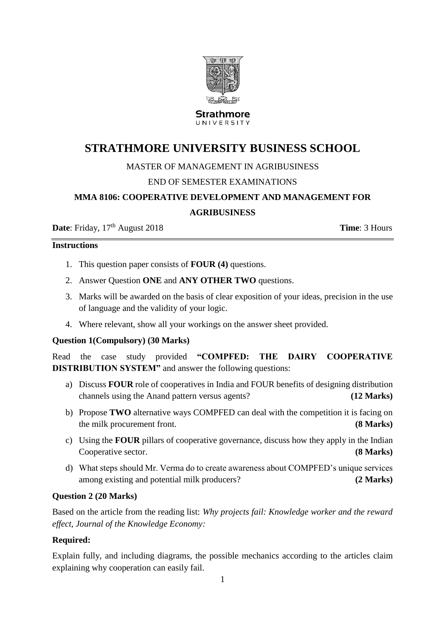

Strathmore UNIVERSITY

# **STRATHMORE UNIVERSITY BUSINESS SCHOOL**

# MASTER OF MANAGEMENT IN AGRIBUSINESS

# END OF SEMESTER EXAMINATIONS

# **MMA 8106: COOPERATIVE DEVELOPMENT AND MANAGEMENT FOR**

#### **AGRIBUSINESS**

**Date**: Friday, 17<sup>th</sup> August 2018 **Time**: 3 Hours

#### **Instructions**

- 1. This question paper consists of **FOUR (4)** questions.
- 2. Answer Question **ONE** and **ANY OTHER TWO** questions.
- 3. Marks will be awarded on the basis of clear exposition of your ideas, precision in the use of language and the validity of your logic.
- 4. Where relevant, show all your workings on the answer sheet provided.

### **Question 1(Compulsory) (30 Marks)**

Read the case study provided **"COMPFED: THE DAIRY COOPERATIVE DISTRIBUTION SYSTEM"** and answer the following questions:

- a) Discuss **FOUR** role of cooperatives in India and FOUR benefits of designing distribution channels using the Anand pattern versus agents? **(12 Marks)**
- b) Propose **TWO** alternative ways COMPFED can deal with the competition it is facing on the milk procurement front. **(8 Marks)**
- c) Using the **FOUR** pillars of cooperative governance, discuss how they apply in the Indian Cooperative sector. **(8 Marks)**
- d) What steps should Mr. Verma do to create awareness about COMPFED's unique services among existing and potential milk producers? **(2 Marks)**

### **Question 2 (20 Marks)**

Based on the article from the reading list: *Why projects fail: Knowledge worker and the reward effect, Journal of the Knowledge Economy:*

### **Required:**

Explain fully, and including diagrams, the possible mechanics according to the articles claim explaining why cooperation can easily fail.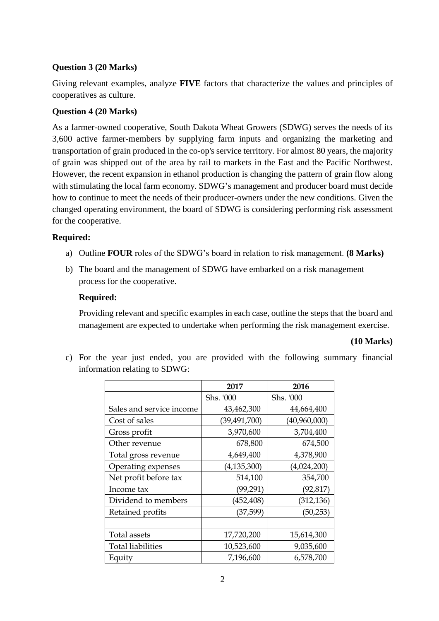# **Question 3 (20 Marks)**

Giving relevant examples, analyze **FIVE** factors that characterize the values and principles of cooperatives as culture.

## **Question 4 (20 Marks)**

As a farmer-owned cooperative, South Dakota Wheat Growers (SDWG) serves the needs of its 3,600 active farmer-members by supplying farm inputs and organizing the marketing and transportation of grain produced in the co-op's service territory. For almost 80 years, the majority of grain was shipped out of the area by rail to markets in the East and the Pacific Northwest. However, the recent expansion in ethanol production is changing the pattern of grain flow along with stimulating the local farm economy. SDWG's management and producer board must decide how to continue to meet the needs of their producer-owners under the new conditions. Given the changed operating environment, the board of SDWG is considering performing risk assessment for the cooperative.

### **Required:**

- a) Outline **FOUR** roles of the SDWG's board in relation to risk management. **(8 Marks)**
- b) The board and the management of SDWG have embarked on a risk management process for the cooperative.

### **Required:**

Providing relevant and specific examples in each case, outline the steps that the board and management are expected to undertake when performing the risk management exercise.

### **(10 Marks)**

c) For the year just ended, you are provided with the following summary financial information relating to SDWG:

|                          | 2017          | 2016         |
|--------------------------|---------------|--------------|
|                          | Shs. '000     | Shs. '000    |
| Sales and service income | 43,462,300    | 44,664,400   |
| Cost of sales            | (39,491,700)  | (40,960,000) |
| Gross profit             | 3,970,600     | 3,704,400    |
| Other revenue            | 678,800       | 674,500      |
| Total gross revenue      | 4,649,400     | 4,378,900    |
| Operating expenses       | (4, 135, 300) | (4,024,200)  |
| Net profit before tax    | 514,100       | 354,700      |
| Income tax               | (99, 291)     | (92, 817)    |
| Dividend to members      | (452,408)     | (312, 136)   |
| Retained profits         | (37,599)      | (50, 253)    |
|                          |               |              |
| Total assets             | 17,720,200    | 15,614,300   |
| <b>Total liabilities</b> | 10,523,600    | 9,035,600    |
| Equity                   | 7,196,600     | 6,578,700    |